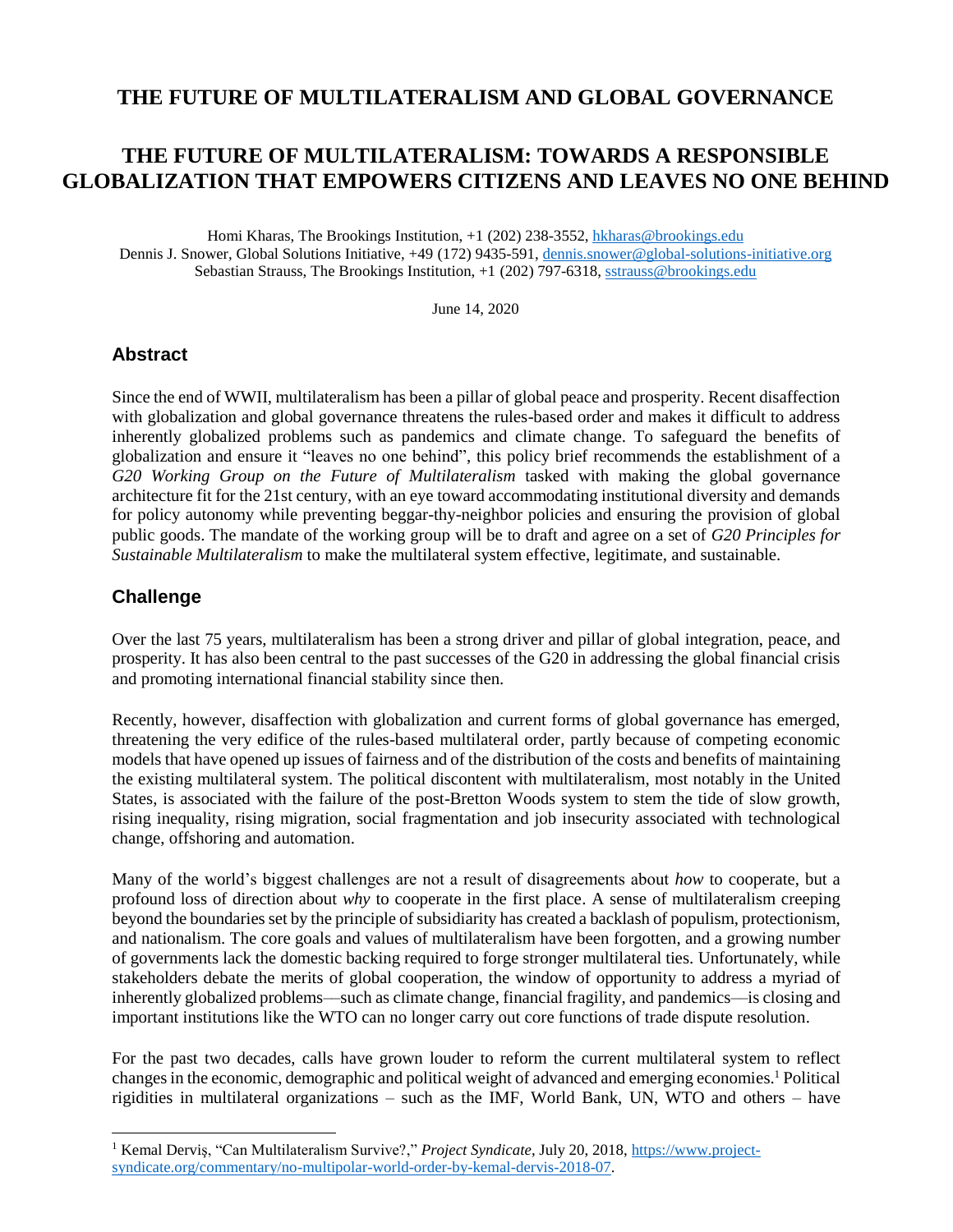# **THE FUTURE OF MULTILATERALISM AND GLOBAL GOVERNANCE**

# **THE FUTURE OF MULTILATERALISM: TOWARDS A RESPONSIBLE GLOBALIZATION THAT EMPOWERS CITIZENS AND LEAVES NO ONE BEHIND**

Homi Kharas, The Brookings Institution, +1 (202) 238-3552, [hkharas@brookings.edu](mailto:hkharas@brookings.edu) Dennis J. Snower, Global Solutions Initiative, +49 (172) 9435-591[, dennis.snower@global-solutions-initiative.org](mailto:dennis.snower@global-solutions-initiative.org) Sebastian Strauss, The Brookings Institution, +1 (202) 797-6318, [sstrauss@brookings.edu](mailto:sstrauss@brookings.edu)

June 14, 2020

#### **Abstract**

Since the end of WWII, multilateralism has been a pillar of global peace and prosperity. Recent disaffection with globalization and global governance threatens the rules-based order and makes it difficult to address inherently globalized problems such as pandemics and climate change. To safeguard the benefits of globalization and ensure it "leaves no one behind", this policy brief recommends the establishment of a *G20 Working Group on the Future of Multilateralism* tasked with making the global governance architecture fit for the 21st century, with an eye toward accommodating institutional diversity and demands for policy autonomy while preventing beggar-thy-neighbor policies and ensuring the provision of global public goods. The mandate of the working group will be to draft and agree on a set of *G20 Principles for Sustainable Multilateralism* to make the multilateral system effective, legitimate, and sustainable.

## **Challenge**

 $\overline{a}$ 

Over the last 75 years, multilateralism has been a strong driver and pillar of global integration, peace, and prosperity. It has also been central to the past successes of the G20 in addressing the global financial crisis and promoting international financial stability since then.

Recently, however, disaffection with globalization and current forms of global governance has emerged, threatening the very edifice of the rules-based multilateral order, partly because of competing economic models that have opened up issues of fairness and of the distribution of the costs and benefits of maintaining the existing multilateral system. The political discontent with multilateralism, most notably in the United States, is associated with the failure of the post-Bretton Woods system to stem the tide of slow growth, rising inequality, rising migration, social fragmentation and job insecurity associated with technological change, offshoring and automation.

Many of the world's biggest challenges are not a result of disagreements about *how* to cooperate, but a profound loss of direction about *why* to cooperate in the first place. A sense of multilateralism creeping beyond the boundaries set by the principle of subsidiarity has created a backlash of populism, protectionism, and nationalism. The core goals and values of multilateralism have been forgotten, and a growing number of governments lack the domestic backing required to forge stronger multilateral ties. Unfortunately, while stakeholders debate the merits of global cooperation, the window of opportunity to address a myriad of inherently globalized problems––such as climate change, financial fragility, and pandemics––is closing and important institutions like the WTO can no longer carry out core functions of trade dispute resolution.

For the past two decades, calls have grown louder to reform the current multilateral system to reflect changes in the economic, demographic and political weight of advanced and emerging economies.<sup>1</sup> Political rigidities in multilateral organizations – such as the IMF, World Bank, UN, WTO and others – have

<sup>&</sup>lt;sup>1</sup> Kemal Derviş, "Can Multilateralism Survive?," Project Syndicate, July 20, 2018[, https://www.project](https://www.project-syndicate.org/commentary/no-multipolar-world-order-by-kemal-dervis-2018-07)[syndicate.org/commentary/no-multipolar-world-order-by-kemal-dervis-2018-07.](https://www.project-syndicate.org/commentary/no-multipolar-world-order-by-kemal-dervis-2018-07)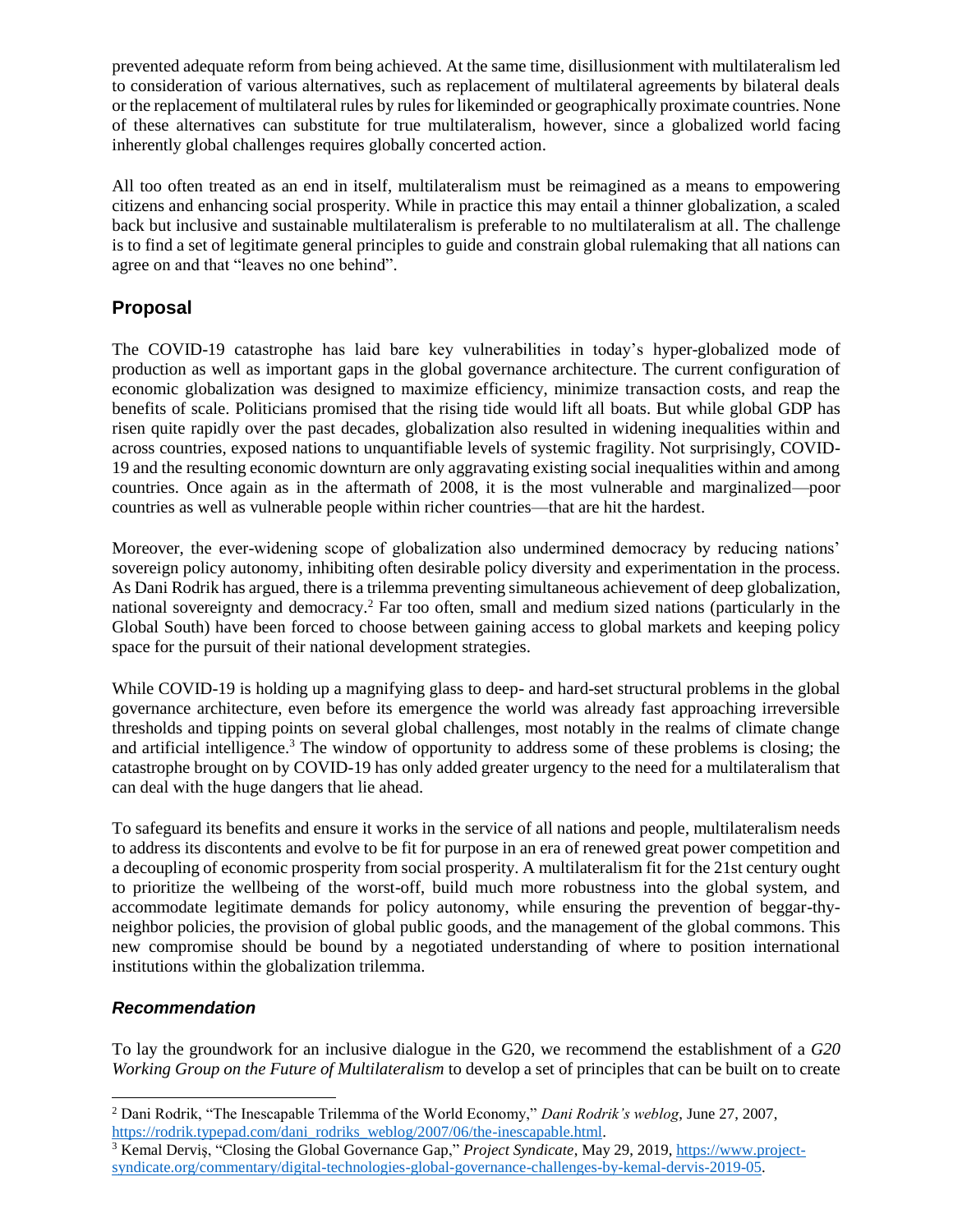prevented adequate reform from being achieved. At the same time, disillusionment with multilateralism led to consideration of various alternatives, such as replacement of multilateral agreements by bilateral deals or the replacement of multilateral rules by rules for likeminded or geographically proximate countries. None of these alternatives can substitute for true multilateralism, however, since a globalized world facing inherently global challenges requires globally concerted action.

All too often treated as an end in itself, multilateralism must be reimagined as a means to empowering citizens and enhancing social prosperity. While in practice this may entail a thinner globalization, a scaled back but inclusive and sustainable multilateralism is preferable to no multilateralism at all. The challenge is to find a set of legitimate general principles to guide and constrain global rulemaking that all nations can agree on and that "leaves no one behind".

## **Proposal**

The COVID-19 catastrophe has laid bare key vulnerabilities in today's hyper-globalized mode of production as well as important gaps in the global governance architecture. The current configuration of economic globalization was designed to maximize efficiency, minimize transaction costs, and reap the benefits of scale. Politicians promised that the rising tide would lift all boats. But while global GDP has risen quite rapidly over the past decades, globalization also resulted in widening inequalities within and across countries, exposed nations to unquantifiable levels of systemic fragility. Not surprisingly, COVID-19 and the resulting economic downturn are only aggravating existing social inequalities within and among countries. Once again as in the aftermath of 2008, it is the most vulnerable and marginalized—poor countries as well as vulnerable people within richer countries—that are hit the hardest.

Moreover, the ever-widening scope of globalization also undermined democracy by reducing nations' sovereign policy autonomy, inhibiting often desirable policy diversity and experimentation in the process. As Dani Rodrik has argued, there is a trilemma preventing simultaneous achievement of deep globalization, national sovereignty and democracy.<sup>2</sup> Far too often, small and medium sized nations (particularly in the Global South) have been forced to choose between gaining access to global markets and keeping policy space for the pursuit of their national development strategies.

While COVID-19 is holding up a magnifying glass to deep- and hard-set structural problems in the global governance architecture, even before its emergence the world was already fast approaching irreversible thresholds and tipping points on several global challenges, most notably in the realms of climate change and artificial intelligence.<sup>3</sup> The window of opportunity to address some of these problems is closing; the catastrophe brought on by COVID-19 has only added greater urgency to the need for a multilateralism that can deal with the huge dangers that lie ahead.

To safeguard its benefits and ensure it works in the service of all nations and people, multilateralism needs to address its discontents and evolve to be fit for purpose in an era of renewed great power competition and a decoupling of economic prosperity from social prosperity. A multilateralism fit for the 21st century ought to prioritize the wellbeing of the worst-off, build much more robustness into the global system, and accommodate legitimate demands for policy autonomy, while ensuring the prevention of beggar-thyneighbor policies, the provision of global public goods, and the management of the global commons. This new compromise should be bound by a negotiated understanding of where to position international institutions within the globalization trilemma.

#### *Recommendation*

 $\overline{a}$ 

To lay the groundwork for an inclusive dialogue in the G20, we recommend the establishment of a *G20 Working Group on the Future of Multilateralism* to develop a set of principles that can be built on to create

<sup>2</sup> Dani Rodrik, "The Inescapable Trilemma of the World Economy," *Dani Rodrik's weblog*, June 27, 2007, [https://rodrik.typepad.com/dani\\_rodriks\\_weblog/2007/06/the-inescapable.html.](https://rodrik.typepad.com/dani_rodriks_weblog/2007/06/the-inescapable.html)

<sup>&</sup>lt;sup>3</sup> Kemal Derviş, "Closing the Global Governance Gap," Project Syndicate, May 29, 2019[, https://www.project](https://www.project-syndicate.org/commentary/digital-technologies-global-governance-challenges-by-kemal-dervis-2019-05)[syndicate.org/commentary/digital-technologies-global-governance-challenges-by-kemal-dervis-2019-05.](https://www.project-syndicate.org/commentary/digital-technologies-global-governance-challenges-by-kemal-dervis-2019-05)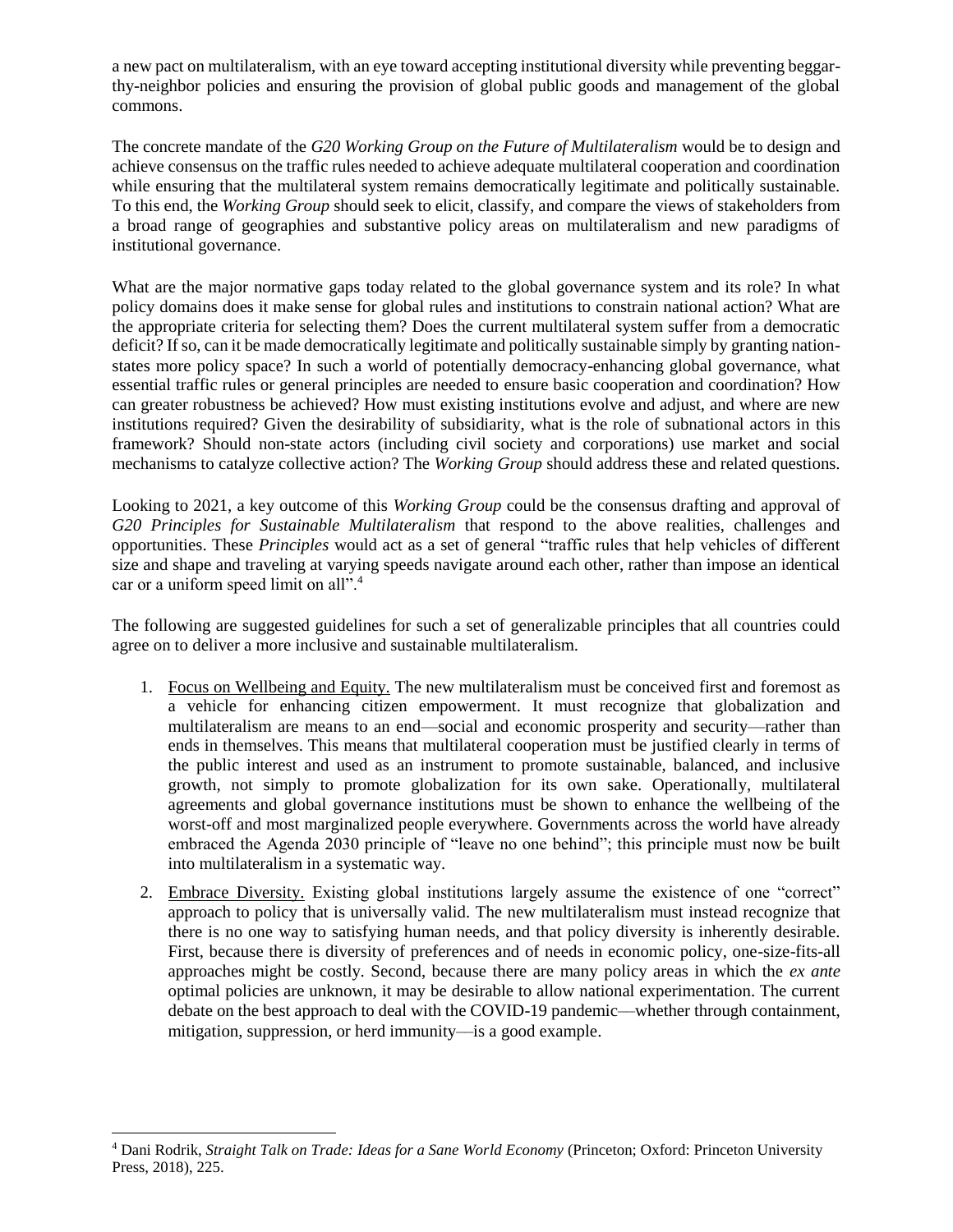a new pact on multilateralism, with an eye toward accepting institutional diversity while preventing beggarthy-neighbor policies and ensuring the provision of global public goods and management of the global commons.

The concrete mandate of the *G20 Working Group on the Future of Multilateralism* would be to design and achieve consensus on the traffic rules needed to achieve adequate multilateral cooperation and coordination while ensuring that the multilateral system remains democratically legitimate and politically sustainable. To this end, the *Working Group* should seek to elicit, classify, and compare the views of stakeholders from a broad range of geographies and substantive policy areas on multilateralism and new paradigms of institutional governance.

What are the major normative gaps today related to the global governance system and its role? In what policy domains does it make sense for global rules and institutions to constrain national action? What are the appropriate criteria for selecting them? Does the current multilateral system suffer from a democratic deficit? If so, can it be made democratically legitimate and politically sustainable simply by granting nationstates more policy space? In such a world of potentially democracy-enhancing global governance, what essential traffic rules or general principles are needed to ensure basic cooperation and coordination? How can greater robustness be achieved? How must existing institutions evolve and adjust, and where are new institutions required? Given the desirability of subsidiarity, what is the role of subnational actors in this framework? Should non-state actors (including civil society and corporations) use market and social mechanisms to catalyze collective action? The *Working Group* should address these and related questions.

Looking to 2021, a key outcome of this *Working Group* could be the consensus drafting and approval of *G20 Principles for Sustainable Multilateralism* that respond to the above realities, challenges and opportunities. These *Principles* would act as a set of general "traffic rules that help vehicles of different size and shape and traveling at varying speeds navigate around each other, rather than impose an identical car or a uniform speed limit on all".<sup>4</sup>

The following are suggested guidelines for such a set of generalizable principles that all countries could agree on to deliver a more inclusive and sustainable multilateralism.

- 1. Focus on Wellbeing and Equity. The new multilateralism must be conceived first and foremost as a vehicle for enhancing citizen empowerment. It must recognize that globalization and multilateralism are means to an end––social and economic prosperity and security––rather than ends in themselves. This means that multilateral cooperation must be justified clearly in terms of the public interest and used as an instrument to promote sustainable, balanced, and inclusive growth, not simply to promote globalization for its own sake. Operationally, multilateral agreements and global governance institutions must be shown to enhance the wellbeing of the worst-off and most marginalized people everywhere. Governments across the world have already embraced the Agenda 2030 principle of "leave no one behind"; this principle must now be built into multilateralism in a systematic way.
- 2. Embrace Diversity. Existing global institutions largely assume the existence of one "correct" approach to policy that is universally valid. The new multilateralism must instead recognize that there is no one way to satisfying human needs, and that policy diversity is inherently desirable. First, because there is diversity of preferences and of needs in economic policy, one-size-fits-all approaches might be costly. Second, because there are many policy areas in which the *ex ante* optimal policies are unknown, it may be desirable to allow national experimentation. The current debate on the best approach to deal with the COVID-19 pandemic––whether through containment, mitigation, suppression, or herd immunity—is a good example.

 $\overline{a}$ <sup>4</sup> Dani Rodrik, *Straight Talk on Trade: Ideas for a Sane World Economy* (Princeton; Oxford: Princeton University Press, 2018), 225.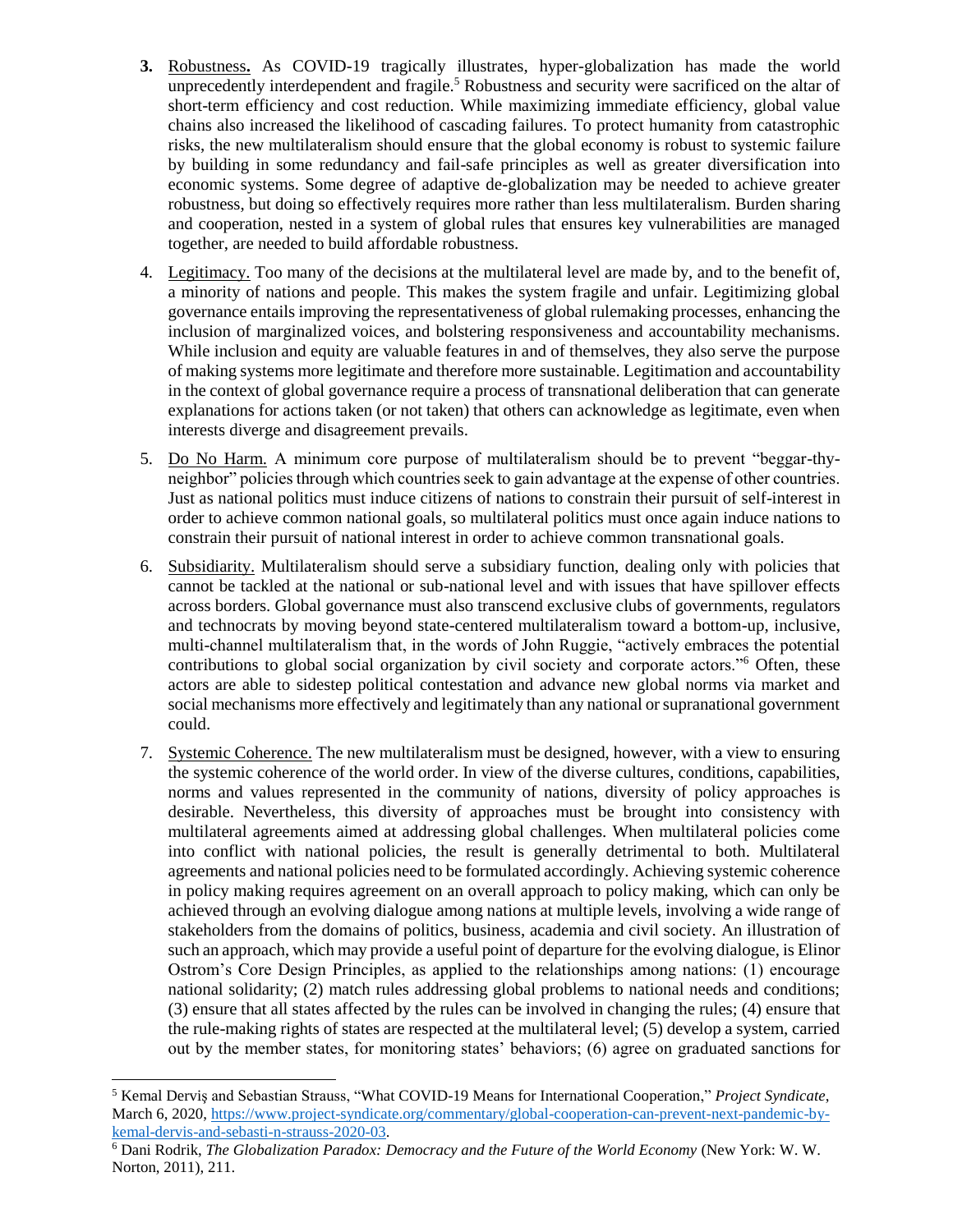- **3.** Robustness**.** As COVID-19 tragically illustrates, hyper-globalization has made the world unprecedently interdependent and fragile.<sup>5</sup> Robustness and security were sacrificed on the altar of short-term efficiency and cost reduction. While maximizing immediate efficiency, global value chains also increased the likelihood of cascading failures. To protect humanity from catastrophic risks, the new multilateralism should ensure that the global economy is robust to systemic failure by building in some redundancy and fail-safe principles as well as greater diversification into economic systems. Some degree of adaptive de-globalization may be needed to achieve greater robustness, but doing so effectively requires more rather than less multilateralism. Burden sharing and cooperation, nested in a system of global rules that ensures key vulnerabilities are managed together, are needed to build affordable robustness.
- 4. Legitimacy. Too many of the decisions at the multilateral level are made by, and to the benefit of, a minority of nations and people. This makes the system fragile and unfair. Legitimizing global governance entails improving the representativeness of global rulemaking processes, enhancing the inclusion of marginalized voices, and bolstering responsiveness and accountability mechanisms. While inclusion and equity are valuable features in and of themselves, they also serve the purpose of making systems more legitimate and therefore more sustainable. Legitimation and accountability in the context of global governance require a process of transnational deliberation that can generate explanations for actions taken (or not taken) that others can acknowledge as legitimate, even when interests diverge and disagreement prevails.
- 5. Do No Harm. A minimum core purpose of multilateralism should be to prevent "beggar-thyneighbor" policies through which countries seek to gain advantage at the expense of other countries. Just as national politics must induce citizens of nations to constrain their pursuit of self-interest in order to achieve common national goals, so multilateral politics must once again induce nations to constrain their pursuit of national interest in order to achieve common transnational goals.
- 6. Subsidiarity. Multilateralism should serve a subsidiary function, dealing only with policies that cannot be tackled at the national or sub-national level and with issues that have spillover effects across borders. Global governance must also transcend exclusive clubs of governments, regulators and technocrats by moving beyond state-centered multilateralism toward a bottom-up, inclusive, multi-channel multilateralism that, in the words of John Ruggie, "actively embraces the potential contributions to global social organization by civil society and corporate actors."<sup>6</sup> Often, these actors are able to sidestep political contestation and advance new global norms via market and social mechanisms more effectively and legitimately than any national or supranational government could.
- 7. Systemic Coherence. The new multilateralism must be designed, however, with a view to ensuring the systemic coherence of the world order. In view of the diverse cultures, conditions, capabilities, norms and values represented in the community of nations, diversity of policy approaches is desirable. Nevertheless, this diversity of approaches must be brought into consistency with multilateral agreements aimed at addressing global challenges. When multilateral policies come into conflict with national policies, the result is generally detrimental to both. Multilateral agreements and national policies need to be formulated accordingly. Achieving systemic coherence in policy making requires agreement on an overall approach to policy making, which can only be achieved through an evolving dialogue among nations at multiple levels, involving a wide range of stakeholders from the domains of politics, business, academia and civil society. An illustration of such an approach, which may provide a useful point of departure for the evolving dialogue, is Elinor Ostrom's Core Design Principles, as applied to the relationships among nations: (1) encourage national solidarity; (2) match rules addressing global problems to national needs and conditions; (3) ensure that all states affected by the rules can be involved in changing the rules; (4) ensure that the rule-making rights of states are respected at the multilateral level; (5) develop a system, carried out by the member states, for monitoring states' behaviors; (6) agree on graduated sanctions for

 $\overline{a}$ 

<sup>5</sup> Kemal Derviş and Sebastian Strauss, "What COVID-19 Means for International Cooperation," *Project Syndicate*, March 6, 2020[, https://www.project-syndicate.org/commentary/global-cooperation-can-prevent-next-pandemic-by](https://www.project-syndicate.org/commentary/global-cooperation-can-prevent-next-pandemic-by-kemal-dervis-and-sebasti-n-strauss-2020-03)[kemal-dervis-and-sebasti-n-strauss-2020-03.](https://www.project-syndicate.org/commentary/global-cooperation-can-prevent-next-pandemic-by-kemal-dervis-and-sebasti-n-strauss-2020-03)

<sup>6</sup> Dani Rodrik, *The Globalization Paradox: Democracy and the Future of the World Economy* (New York: W. W. Norton, 2011), 211.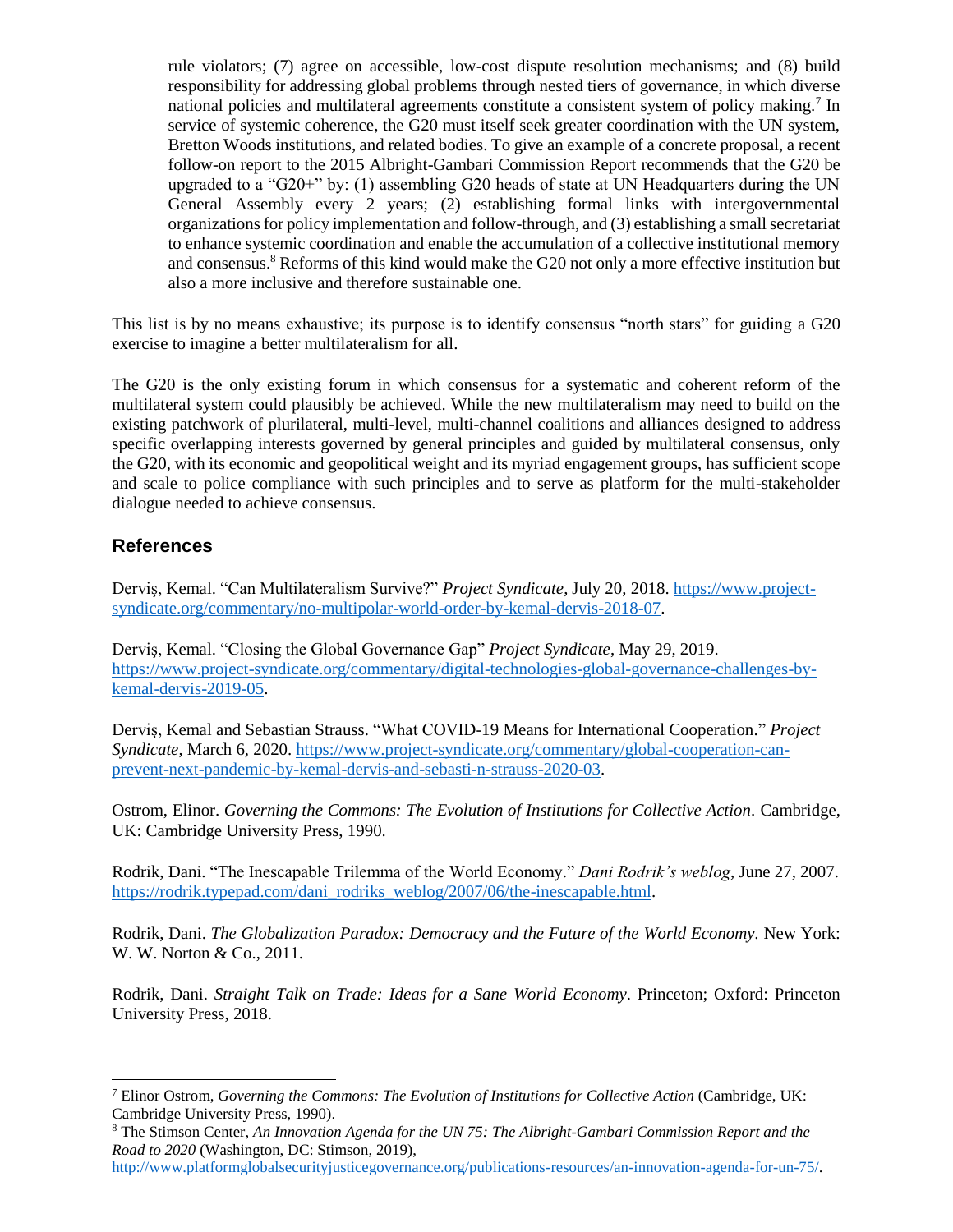rule violators; (7) agree on accessible, low-cost dispute resolution mechanisms; and (8) build responsibility for addressing global problems through nested tiers of governance, in which diverse national policies and multilateral agreements constitute a consistent system of policy making.<sup>7</sup> In service of systemic coherence, the G20 must itself seek greater coordination with the UN system, Bretton Woods institutions, and related bodies. To give an example of a concrete proposal, a recent follow-on report to the 2015 Albright-Gambari Commission Report recommends that the G20 be upgraded to a " $G20+$ " by: (1) assembling  $G20$  heads of state at UN Headquarters during the UN General Assembly every 2 years; (2) establishing formal links with intergovernmental organizations for policy implementation and follow-through, and (3) establishing a small secretariat to enhance systemic coordination and enable the accumulation of a collective institutional memory and consensus.<sup>8</sup> Reforms of this kind would make the G20 not only a more effective institution but also a more inclusive and therefore sustainable one.

This list is by no means exhaustive; its purpose is to identify consensus "north stars" for guiding a G20 exercise to imagine a better multilateralism for all.

The G20 is the only existing forum in which consensus for a systematic and coherent reform of the multilateral system could plausibly be achieved. While the new multilateralism may need to build on the existing patchwork of plurilateral, multi-level, multi-channel coalitions and alliances designed to address specific overlapping interests governed by general principles and guided by multilateral consensus, only the G20, with its economic and geopolitical weight and its myriad engagement groups, has sufficient scope and scale to police compliance with such principles and to serve as platform for the multi-stakeholder dialogue needed to achieve consensus.

### **References**

 $\overline{a}$ 

Derviş, Kemal. "Can Multilateralism Survive?" *Project Syndicate*, July 20, 2018. [https://www.project](https://www.project-syndicate.org/commentary/no-multipolar-world-order-by-kemal-dervis-2018-07)[syndicate.org/commentary/no-multipolar-world-order-by-kemal-dervis-2018-07.](https://www.project-syndicate.org/commentary/no-multipolar-world-order-by-kemal-dervis-2018-07)

Derviş, Kemal. "Closing the Global Governance Gap" *Project Syndicate*, May 29, 2019. [https://www.project-syndicate.org/commentary/digital-technologies-global-governance-challenges-by](https://www.project-syndicate.org/commentary/digital-technologies-global-governance-challenges-by-kemal-dervis-2019-05)[kemal-dervis-2019-05.](https://www.project-syndicate.org/commentary/digital-technologies-global-governance-challenges-by-kemal-dervis-2019-05)

Derviş, Kemal and Sebastian Strauss. "What COVID-19 Means for International Cooperation." *Project Syndicate*, March 6, 2020. [https://www.project-syndicate.org/commentary/global-cooperation-can](https://www.project-syndicate.org/commentary/global-cooperation-can-prevent-next-pandemic-by-kemal-dervis-and-sebasti-n-strauss-2020-03)[prevent-next-pandemic-by-kemal-dervis-and-sebasti-n-strauss-2020-03.](https://www.project-syndicate.org/commentary/global-cooperation-can-prevent-next-pandemic-by-kemal-dervis-and-sebasti-n-strauss-2020-03)

Ostrom, Elinor. *Governing the Commons: The Evolution of Institutions for Collective Action.* Cambridge, UK: Cambridge University Press, 1990.

Rodrik, Dani. "The Inescapable Trilemma of the World Economy." *Dani Rodrik's weblog*, June 27, 2007. [https://rodrik.typepad.com/dani\\_rodriks\\_weblog/2007/06/the-inescapable.html.](https://rodrik.typepad.com/dani_rodriks_weblog/2007/06/the-inescapable.html)

Rodrik, Dani. *The Globalization Paradox: Democracy and the Future of the World Economy.* New York: W. W. Norton & Co., 2011.

Rodrik, Dani. *Straight Talk on Trade: Ideas for a Sane World Economy*. Princeton; Oxford: Princeton University Press, 2018.

<sup>7</sup> Elinor Ostrom, *Governing the Commons: The Evolution of Institutions for Collective Action* (Cambridge, UK: Cambridge University Press, 1990).

<sup>8</sup> The Stimson Center, *An Innovation Agenda for the UN 75: The Albright-Gambari Commission Report and the Road to 2020* (Washington, DC: Stimson, 2019),

[http://www.platformglobalsecurityjusticegovernance.org/publications-resources/an-innovation-agenda-for-un-75/.](http://www.platformglobalsecurityjusticegovernance.org/publications-resources/an-innovation-agenda-for-un-75/)